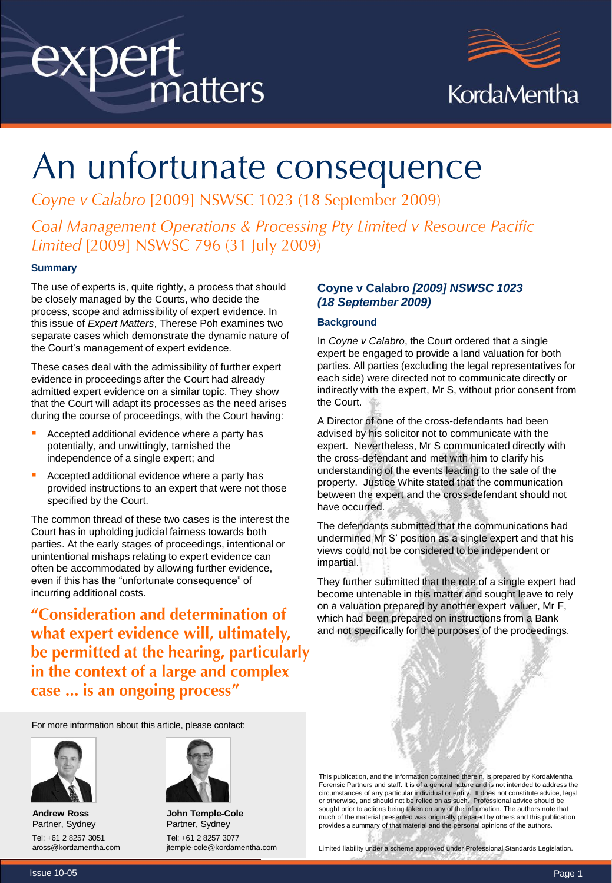# expert<br>matters



# An unfortunate consequence

Coyne v Calabro [2009] NSWSC 1023 (18 September 2009)

Coal Management Operations & Processing Pty Limited v Resource Pacific Limited [2009] NSWSC 796 (31 July 2009)

#### **Summary**

The use of experts is, quite rightly, a process that should be closely managed by the Courts, who decide the process, scope and admissibility of expert evidence. In this issue of *Expert Matters*, Therese Poh examines two separate cases which demonstrate the dynamic nature of the Court's management of expert evidence.

These cases deal with the admissibility of further expert evidence in proceedings after the Court had already admitted expert evidence on a similar topic. They show that the Court will adapt its processes as the need arises during the course of proceedings, with the Court having:

- Accepted additional evidence where a party has potentially, and unwittingly, tarnished the independence of a single expert; and
- Accepted additional evidence where a party has provided instructions to an expert that were not those specified by the Court.

The common thread of these two cases is the interest the Court has in upholding judicial fairness towards both parties. At the early stages of proceedings, intentional or unintentional mishaps relating to expert evidence can often be accommodated by allowing further evidence, even if this has the "unfortunate consequence" of incurring additional costs.

"Consideration and determination of what expert evidence will, ultimately, be permitted at the hearing, particularly in the context of a large and complex case ... is an ongoing process"

#### **Coyne v Calabro** *[2009] NSWSC 1023 (18 September 2009)*

#### **Background**

In *Coyne v Calabro*, the Court ordered that a single expert be engaged to provide a land valuation for both parties. All parties (excluding the legal representatives for each side) were directed not to communicate directly or indirectly with the expert, Mr S, without prior consent from the Court.

A Director of one of the cross-defendants had been advised by his solicitor not to communicate with the expert. Nevertheless, Mr S communicated directly with the cross-defendant and met with him to clarify his understanding of the events leading to the sale of the property. Justice White stated that the communication between the expert and the cross-defendant should not have occurred.

The defendants submitted that the communications had undermined Mr S' position as a single expert and that his views could not be considered to be independent or impartial.

They further submitted that the role of a single expert had become untenable in this matter and sought leave to rely on a valuation prepared by another expert valuer, Mr F, which had been prepared on instructions from a Bank and not specifically for the purposes of the proceedings.

For more information about this article, please contact:



**Andrew Ross** Partner, Sydney Tel: +61 2 8257 3051 aross@kordamentha.com



**John Temple-Cole** Partner, Sydney Tel: +61 2 8257 3077 jtemple-cole@kordamentha.com

This publication, and the information contained therein, is prepared by KordaMentha Forensic Partners and staff. It is of a general nature and is not intended to address the circumstances of any particular individual or entity. It does not constitute advice, legal or otherwise, and should not be relied on as such. Professional advice should be sought prior to actions being taken on any of the information. The authors note that much of the material presented was originally prepared by others and this publication provides a summary of that material and the personal opinions of the authors.

Limited liability under a scheme approved under Professional Standards Legislation.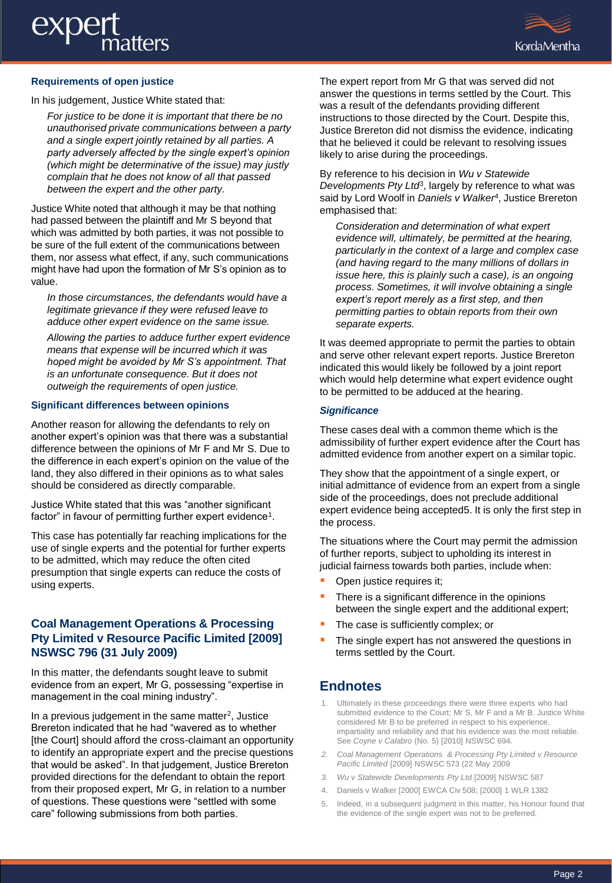# exper atters



#### **Requirements of open justice**

In his judgement, Justice White stated that:

*For justice to be done it is important that there be no unauthorised private communications between a party and a single expert jointly retained by all parties. A party adversely affected by the single expert's opinion (which might be determinative of the issue) may justly complain that he does not know of all that passed between the expert and the other party.* 

Justice White noted that although it may be that nothing had passed between the plaintiff and Mr S beyond that which was admitted by both parties, it was not possible to be sure of the full extent of the communications between them, nor assess what effect, if any, such communications might have had upon the formation of Mr S's opinion as to value.

*In those circumstances, the defendants would have a legitimate grievance if they were refused leave to adduce other expert evidence on the same issue.*

*Allowing the parties to adduce further expert evidence means that expense will be incurred which it was hoped might be avoided by Mr S's appointment. That is an unfortunate consequence. But it does not outweigh the requirements of open justice.*

#### **Significant differences between opinions**

Another reason for allowing the defendants to rely on another expert's opinion was that there was a substantial difference between the opinions of Mr F and Mr S. Due to the difference in each expert's opinion on the value of the land, they also differed in their opinions as to what sales should be considered as directly comparable.

Justice White stated that this was "another significant factor" in favour of permitting further expert evidence<sup>1</sup>.

This case has potentially far reaching implications for the use of single experts and the potential for further experts to be admitted, which may reduce the often cited presumption that single experts can reduce the costs of using experts.

#### **Coal Management Operations & Processing Pty Limited v Resource Pacific Limited [2009] NSWSC 796 (31 July 2009)**

In this matter, the defendants sought leave to submit evidence from an expert, Mr G, possessing "expertise in management in the coal mining industry".

In a previous judgement in the same matter<sup>2</sup>, Justice Brereton indicated that he had "wavered as to whether [the Court] should afford the cross-claimant an opportunity to identify an appropriate expert and the precise questions that would be asked". In that judgement, Justice Brereton provided directions for the defendant to obtain the report from their proposed expert, Mr G, in relation to a number of questions. These questions were "settled with some care" following submissions from both parties.

The expert report from Mr G that was served did not answer the questions in terms settled by the Court. This was a result of the defendants providing different instructions to those directed by the Court. Despite this, Justice Brereton did not dismiss the evidence, indicating that he believed it could be relevant to resolving issues likely to arise during the proceedings.

By reference to his decision in *Wu v Statewide* Developments Pty Ltd<sup>3</sup>, largely by reference to what was said by Lord Woolf in *Daniels v Walker*<sup>4</sup> , Justice Brereton emphasised that:

*Consideration and determination of what expert evidence will, ultimately, be permitted at the hearing, particularly in the context of a large and complex case (and having regard to the many millions of dollars in issue here, this is plainly such a case), is an ongoing process. Sometimes, it will involve obtaining a single expert's report merely as a first step, and then permitting parties to obtain reports from their own separate experts.*

It was deemed appropriate to permit the parties to obtain and serve other relevant expert reports. Justice Brereton indicated this would likely be followed by a joint report which would help determine what expert evidence ought to be permitted to be adduced at the hearing.

#### *Significance*

These cases deal with a common theme which is the admissibility of further expert evidence after the Court has admitted evidence from another expert on a similar topic.

They show that the appointment of a single expert, or initial admittance of evidence from an expert from a single side of the proceedings, does not preclude additional expert evidence being accepted5. It is only the first step in the process.

The situations where the Court may permit the admission of further reports, subject to upholding its interest in judicial fairness towards both parties, include when:

- Open justice requires it;
- There is a significant difference in the opinions between the single expert and the additional expert;
- The case is sufficiently complex; or
- The single expert has not answered the questions in terms settled by the Court.

#### **Endnotes**

- 1. Ultimately in these proceedings there were three experts who had submitted evidence to the Court; Mr S, Mr F and a Mr B. Justice White considered Mr B to be preferred in respect to his experience, impartiality and reliability and that his evidence was the most reliable. See *Coyne v Calabro* (No. 5) [2010] NSWSC 694.
- *2. Coal Management Operations & Processing Pty Limited v Resource Pacific Limited* [2009] NSWSC 573 (22 May 2009
- *3. Wu v Statewide Developments Pty Ltd* [2009] NSWSC 587
- 4. Daniels v Walker [2000] EWCA Civ 508; [2000] 1 WLR 1382
- 5. Indeed, in a subsequent judgment in this matter, his Honour found that the evidence of the single expert was not to be preferred.